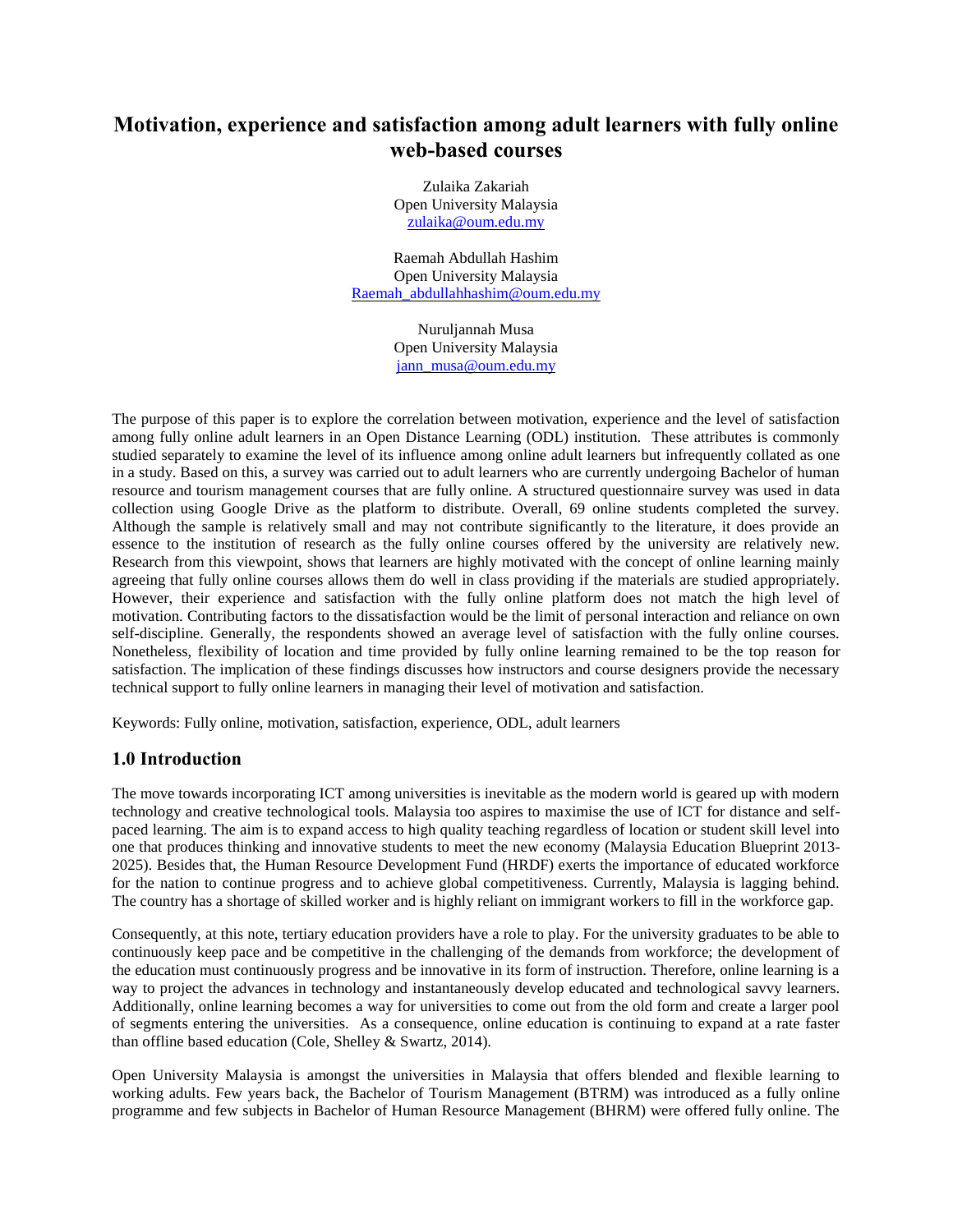# **Motivation, experience and satisfaction among adult learners with fully online web-based courses**

Zulaika Zakariah Open University Malaysia [zulaika@oum.edu.my](mailto:zulaika@oum.edu.my)

Raemah Abdullah Hashim Open University Malaysia [Raemah\\_abdullahhashim@oum.edu.my](mailto:Raemah_abdullahhashim@oum.edu.my)

> Nuruljannah Musa Open University Malaysia [jann\\_musa@oum.edu.my](mailto:jann_musa@oum.edu.my)

The purpose of this paper is to explore the correlation between motivation, experience and the level of satisfaction among fully online adult learners in an Open Distance Learning (ODL) institution. These attributes is commonly studied separately to examine the level of its influence among online adult learners but infrequently collated as one in a study. Based on this, a survey was carried out to adult learners who are currently undergoing Bachelor of human resource and tourism management courses that are fully online. A structured questionnaire survey was used in data collection using Google Drive as the platform to distribute. Overall, 69 online students completed the survey. Although the sample is relatively small and may not contribute significantly to the literature, it does provide an essence to the institution of research as the fully online courses offered by the university are relatively new. Research from this viewpoint, shows that learners are highly motivated with the concept of online learning mainly agreeing that fully online courses allows them do well in class providing if the materials are studied appropriately. However, their experience and satisfaction with the fully online platform does not match the high level of motivation. Contributing factors to the dissatisfaction would be the limit of personal interaction and reliance on own self-discipline. Generally, the respondents showed an average level of satisfaction with the fully online courses. Nonetheless, flexibility of location and time provided by fully online learning remained to be the top reason for satisfaction. The implication of these findings discusses how instructors and course designers provide the necessary technical support to fully online learners in managing their level of motivation and satisfaction.

Keywords: Fully online, motivation, satisfaction, experience, ODL, adult learners

# **1.0 Introduction**

The move towards incorporating ICT among universities is inevitable as the modern world is geared up with modern technology and creative technological tools. Malaysia too aspires to maximise the use of ICT for distance and selfpaced learning. The aim is to expand access to high quality teaching regardless of location or student skill level into one that produces thinking and innovative students to meet the new economy (Malaysia Education Blueprint 2013- 2025). Besides that, the Human Resource Development Fund (HRDF) exerts the importance of educated workforce for the nation to continue progress and to achieve global competitiveness. Currently, Malaysia is lagging behind. The country has a shortage of skilled worker and is highly reliant on immigrant workers to fill in the workforce gap.

Consequently, at this note, tertiary education providers have a role to play. For the university graduates to be able to continuously keep pace and be competitive in the challenging of the demands from workforce; the development of the education must continuously progress and be innovative in its form of instruction. Therefore, online learning is a way to project the advances in technology and instantaneously develop educated and technological savvy learners. Additionally, online learning becomes a way for universities to come out from the old form and create a larger pool of segments entering the universities. As a consequence, online education is continuing to expand at a rate faster than offline based education (Cole, Shelley & Swartz, 2014).

Open University Malaysia is amongst the universities in Malaysia that offers blended and flexible learning to working adults. Few years back, the Bachelor of Tourism Management (BTRM) was introduced as a fully online programme and few subjects in Bachelor of Human Resource Management (BHRM) were offered fully online. The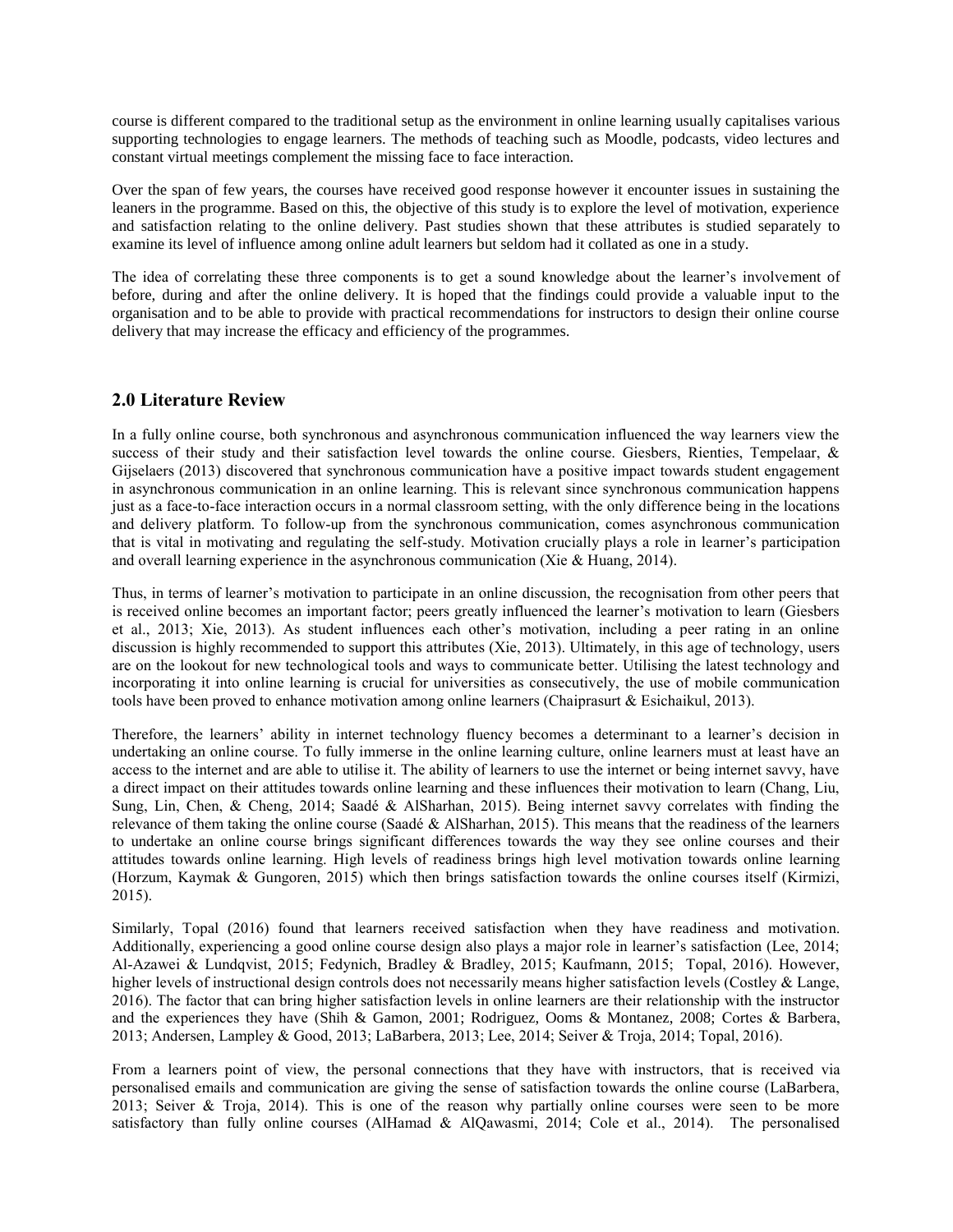course is different compared to the traditional setup as the environment in online learning usually capitalises various supporting technologies to engage learners. The methods of teaching such as Moodle, podcasts, video lectures and constant virtual meetings complement the missing face to face interaction.

Over the span of few years, the courses have received good response however it encounter issues in sustaining the leaners in the programme. Based on this, the objective of this study is to explore the level of motivation, experience and satisfaction relating to the online delivery. Past studies shown that these attributes is studied separately to examine its level of influence among online adult learners but seldom had it collated as one in a study.

The idea of correlating these three components is to get a sound knowledge about the learner's involvement of before, during and after the online delivery. It is hoped that the findings could provide a valuable input to the organisation and to be able to provide with practical recommendations for instructors to design their online course delivery that may increase the efficacy and efficiency of the programmes.

## **2.0 Literature Review**

In a fully online course, both synchronous and asynchronous communication influenced the way learners view the success of their study and their satisfaction level towards the online course. Giesbers, Rienties, Tempelaar, & Gijselaers (2013) discovered that synchronous communication have a positive impact towards student engagement in asynchronous communication in an online learning. This is relevant since synchronous communication happens just as a face-to-face interaction occurs in a normal classroom setting, with the only difference being in the locations and delivery platform. To follow-up from the synchronous communication, comes asynchronous communication that is vital in motivating and regulating the self-study. Motivation crucially plays a role in learner's participation and overall learning experience in the asynchronous communication (Xie & Huang, 2014).

Thus, in terms of learner's motivation to participate in an online discussion, the recognisation from other peers that is received online becomes an important factor; peers greatly influenced the learner's motivation to learn (Giesbers et al., 2013; Xie, 2013). As student influences each other's motivation, including a peer rating in an online discussion is highly recommended to support this attributes (Xie, 2013). Ultimately, in this age of technology, users are on the lookout for new technological tools and ways to communicate better. Utilising the latest technology and incorporating it into online learning is crucial for universities as consecutively, the use of mobile communication tools have been proved to enhance motivation among online learners (Chaiprasurt & Esichaikul, 2013).

Therefore, the learners' ability in internet technology fluency becomes a determinant to a learner's decision in undertaking an online course. To fully immerse in the online learning culture, online learners must at least have an access to the internet and are able to utilise it. The ability of learners to use the internet or being internet savvy, have a direct impact on their attitudes towards online learning and these influences their motivation to learn (Chang, Liu, Sung, Lin, Chen, & Cheng, 2014; Saadé & AlSharhan, 2015). Being internet savvy correlates with finding the relevance of them taking the online course (Saadé & AlSharhan, 2015). This means that the readiness of the learners to undertake an online course brings significant differences towards the way they see online courses and their attitudes towards online learning. High levels of readiness brings high level motivation towards online learning (Horzum, Kaymak & Gungoren, 2015) which then brings satisfaction towards the online courses itself (Kirmizi, 2015).

Similarly, Topal (2016) found that learners received satisfaction when they have readiness and motivation. Additionally, experiencing a good online course design also plays a major role in learner's satisfaction (Lee, 2014; Al-Azawei & Lundqvist, 2015; Fedynich, Bradley & Bradley, 2015; Kaufmann, 2015; Topal, 2016). However, higher levels of instructional design controls does not necessarily means higher satisfaction levels (Costley & Lange, 2016). The factor that can bring higher satisfaction levels in online learners are their relationship with the instructor and the experiences they have (Shih & Gamon, 2001; Rodriguez, Ooms & Montanez, 2008; Cortes & Barbera, 2013; Andersen, Lampley & Good, 2013; LaBarbera, 2013; Lee, 2014; Seiver & Troja, 2014; Topal, 2016).

From a learners point of view, the personal connections that they have with instructors, that is received via personalised emails and communication are giving the sense of satisfaction towards the online course (LaBarbera, 2013; Seiver & Troja, 2014). This is one of the reason why partially online courses were seen to be more satisfactory than fully online courses (AlHamad & AlQawasmi, 2014; Cole et al., 2014). The personalised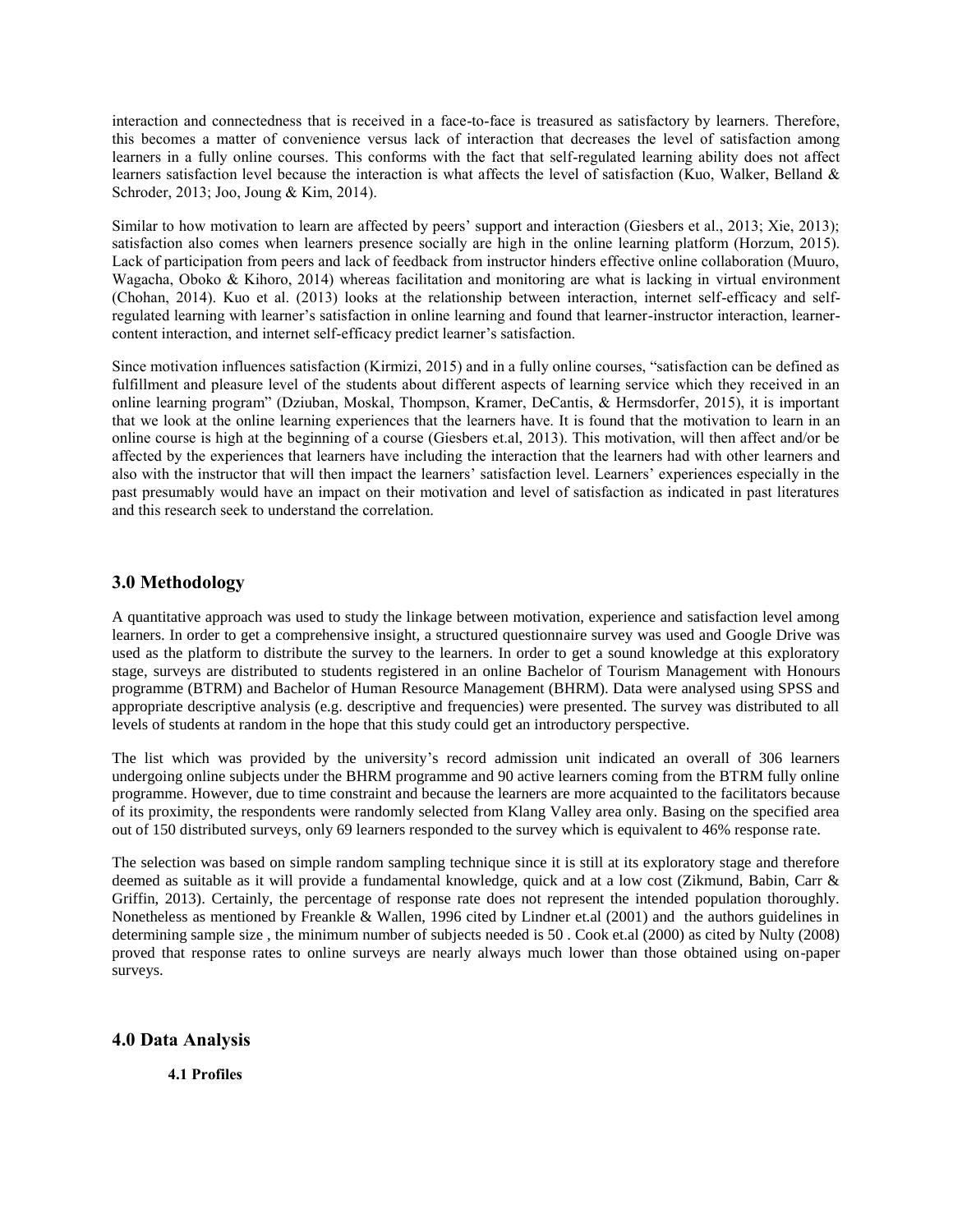interaction and connectedness that is received in a face-to-face is treasured as satisfactory by learners. Therefore, this becomes a matter of convenience versus lack of interaction that decreases the level of satisfaction among learners in a fully online courses. This conforms with the fact that self-regulated learning ability does not affect learners satisfaction level because the interaction is what affects the level of satisfaction (Kuo, Walker, Belland & Schroder, 2013; Joo, Joung & Kim, 2014).

Similar to how motivation to learn are affected by peers' support and interaction (Giesbers et al., 2013; Xie, 2013); satisfaction also comes when learners presence socially are high in the online learning platform (Horzum, 2015). Lack of participation from peers and lack of feedback from instructor hinders effective online collaboration (Muuro, Wagacha, Oboko & Kihoro, 2014) whereas facilitation and monitoring are what is lacking in virtual environment (Chohan, 2014). Kuo et al. (2013) looks at the relationship between interaction, internet self-efficacy and selfregulated learning with learner's satisfaction in online learning and found that learner-instructor interaction, learnercontent interaction, and internet self-efficacy predict learner's satisfaction.

Since motivation influences satisfaction (Kirmizi, 2015) and in a fully online courses, "satisfaction can be defined as fulfillment and pleasure level of the students about different aspects of learning service which they received in an online learning program" (Dziuban, Moskal, Thompson, Kramer, DeCantis, & Hermsdorfer, 2015), it is important that we look at the online learning experiences that the learners have. It is found that the motivation to learn in an online course is high at the beginning of a course (Giesbers et.al, 2013). This motivation, will then affect and/or be affected by the experiences that learners have including the interaction that the learners had with other learners and also with the instructor that will then impact the learners' satisfaction level. Learners' experiences especially in the past presumably would have an impact on their motivation and level of satisfaction as indicated in past literatures and this research seek to understand the correlation.

## **3.0 Methodology**

A quantitative approach was used to study the linkage between motivation, experience and satisfaction level among learners. In order to get a comprehensive insight, a structured questionnaire survey was used and Google Drive was used as the platform to distribute the survey to the learners. In order to get a sound knowledge at this exploratory stage, surveys are distributed to students registered in an online Bachelor of Tourism Management with Honours programme (BTRM) and Bachelor of Human Resource Management (BHRM). Data were analysed using SPSS and appropriate descriptive analysis (e.g. descriptive and frequencies) were presented. The survey was distributed to all levels of students at random in the hope that this study could get an introductory perspective.

The list which was provided by the university's record admission unit indicated an overall of 306 learners undergoing online subjects under the BHRM programme and 90 active learners coming from the BTRM fully online programme. However, due to time constraint and because the learners are more acquainted to the facilitators because of its proximity, the respondents were randomly selected from Klang Valley area only. Basing on the specified area out of 150 distributed surveys, only 69 learners responded to the survey which is equivalent to 46% response rate.

The selection was based on simple random sampling technique since it is still at its exploratory stage and therefore deemed as suitable as it will provide a fundamental knowledge, quick and at a low cost (Zikmund, Babin, Carr & Griffin, 2013). Certainly, the percentage of response rate does not represent the intended population thoroughly. Nonetheless as mentioned by Freankle & Wallen, 1996 cited by Lindner et.al (2001) and the authors guidelines in determining sample size , the minimum number of subjects needed is 50 . Cook et.al (2000) as cited by Nulty (2008) proved that response rates to online surveys are nearly always much lower than those obtained using on-paper surveys.

## **4.0 Data Analysis**

**4.1 Profiles**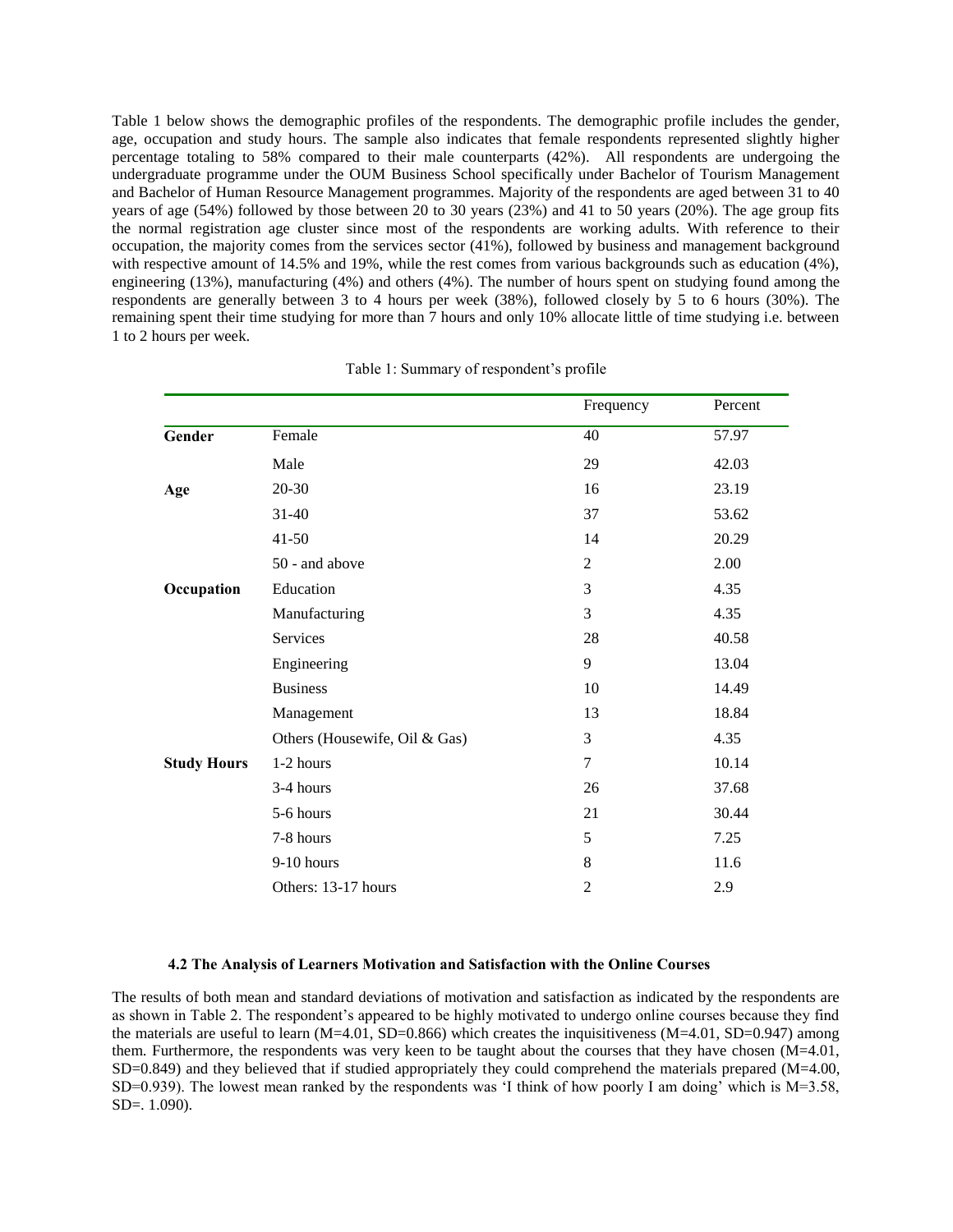Table 1 below shows the demographic profiles of the respondents. The demographic profile includes the gender, age, occupation and study hours. The sample also indicates that female respondents represented slightly higher percentage totaling to 58% compared to their male counterparts (42%). All respondents are undergoing the undergraduate programme under the OUM Business School specifically under Bachelor of Tourism Management and Bachelor of Human Resource Management programmes. Majority of the respondents are aged between 31 to 40 years of age (54%) followed by those between 20 to 30 years (23%) and 41 to 50 years (20%). The age group fits the normal registration age cluster since most of the respondents are working adults. With reference to their occupation, the majority comes from the services sector (41%), followed by business and management background with respective amount of 14.5% and 19%, while the rest comes from various backgrounds such as education (4%), engineering (13%), manufacturing (4%) and others (4%). The number of hours spent on studying found among the respondents are generally between 3 to 4 hours per week (38%), followed closely by 5 to 6 hours (30%). The remaining spent their time studying for more than 7 hours and only 10% allocate little of time studying i.e. between 1 to 2 hours per week.

|                    |                               | Frequency      | Percent |
|--------------------|-------------------------------|----------------|---------|
| Gender             | Female                        | 40             | 57.97   |
|                    | Male                          | 29             | 42.03   |
| Age                | 20-30                         | 16             | 23.19   |
|                    | $31 - 40$                     | 37             | 53.62   |
|                    | $41 - 50$                     | 14             | 20.29   |
|                    | 50 - and above                | 2              | 2.00    |
| Occupation         | Education                     | 3              | 4.35    |
|                    | Manufacturing                 | 3              | 4.35    |
|                    | Services                      | 28             | 40.58   |
|                    | Engineering                   | 9              | 13.04   |
|                    | <b>Business</b>               | 10             | 14.49   |
|                    | Management                    | 13             | 18.84   |
|                    | Others (Housewife, Oil & Gas) | 3              | 4.35    |
| <b>Study Hours</b> | 1-2 hours                     | $\overline{7}$ | 10.14   |
|                    | 3-4 hours                     | 26             | 37.68   |
|                    | 5-6 hours                     | 21             | 30.44   |
|                    | 7-8 hours                     | 5              | 7.25    |
|                    | 9-10 hours                    | 8              | 11.6    |
|                    | Others: 13-17 hours           | 2              | 2.9     |

Table 1: Summary of respondent's profile

#### **4.2 The Analysis of Learners Motivation and Satisfaction with the Online Courses**

The results of both mean and standard deviations of motivation and satisfaction as indicated by the respondents are as shown in Table 2. The respondent's appeared to be highly motivated to undergo online courses because they find the materials are useful to learn  $(M=4.01, SD=0.866)$  which creates the inquisitiveness  $(M=4.01, SD=0.947)$  among them. Furthermore, the respondents was very keen to be taught about the courses that they have chosen (M=4.01,  $SD=0.849$ ) and they believed that if studied appropriately they could comprehend the materials prepared (M=4.00, SD=0.939). The lowest mean ranked by the respondents was 'I think of how poorly I am doing' which is M=3.58, SD=. 1.090).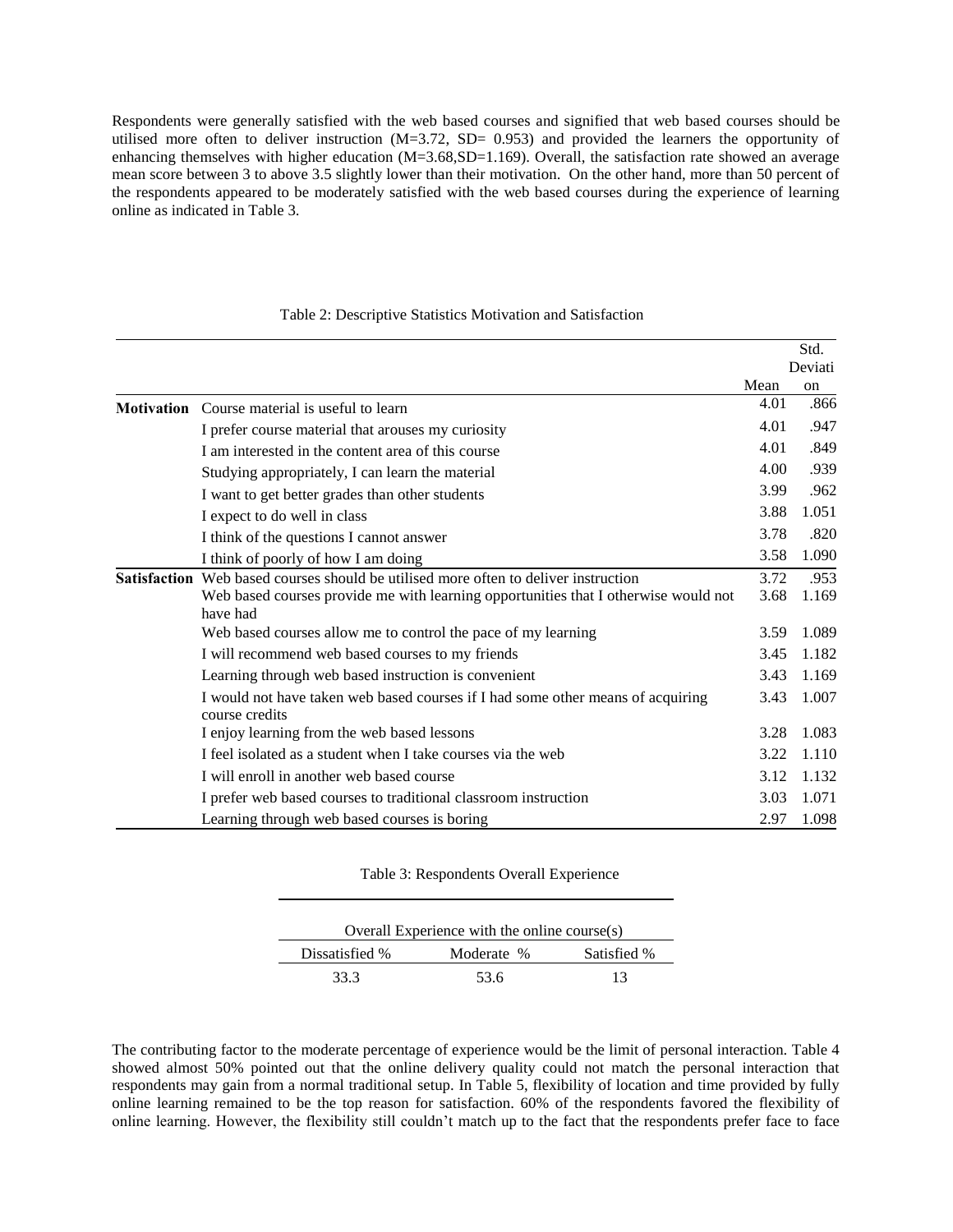Respondents were generally satisfied with the web based courses and signified that web based courses should be utilised more often to deliver instruction  $(M=3.72, SD= 0.953)$  and provided the learners the opportunity of enhancing themselves with higher education (M=3.68,SD=1.169). Overall, the satisfaction rate showed an average mean score between 3 to above 3.5 slightly lower than their motivation. On the other hand, more than 50 percent of the respondents appeared to be moderately satisfied with the web based courses during the experience of learning online as indicated in Table 3.

|                   |                                                                                                   |      | Deviati       |
|-------------------|---------------------------------------------------------------------------------------------------|------|---------------|
|                   |                                                                                                   | Mean | <sub>on</sub> |
| <b>Motivation</b> | Course material is useful to learn                                                                | 4.01 | .866          |
|                   | I prefer course material that arouses my curiosity                                                | 4.01 | .947          |
|                   | I am interested in the content area of this course                                                | 4.01 | .849          |
|                   | Studying appropriately, I can learn the material                                                  | 4.00 | .939          |
|                   | I want to get better grades than other students                                                   | 3.99 | .962          |
|                   | I expect to do well in class                                                                      | 3.88 | 1.051         |
|                   | I think of the questions I cannot answer                                                          | 3.78 | .820          |
|                   | I think of poorly of how I am doing                                                               | 3.58 | 1.090         |
|                   | <b>Satisfaction</b> Web based courses should be utilised more often to deliver instruction        | 3.72 | .953          |
|                   | Web based courses provide me with learning opportunities that I otherwise would not               | 3.68 | 1.169         |
|                   | have had                                                                                          |      |               |
|                   | Web based courses allow me to control the pace of my learning                                     | 3.59 | 1.089         |
|                   | I will recommend web based courses to my friends                                                  | 3.45 | 1.182         |
|                   | Learning through web based instruction is convenient                                              | 3.43 | 1.169         |
|                   | I would not have taken web based courses if I had some other means of acquiring<br>course credits | 3.43 | 1.007         |
|                   | I enjoy learning from the web based lessons                                                       | 3.28 | 1.083         |
|                   | I feel isolated as a student when I take courses via the web                                      | 3.22 | 1.110         |
|                   | I will enroll in another web based course                                                         | 3.12 | 1.132         |
|                   | I prefer web based courses to traditional classroom instruction                                   | 3.03 | 1.071         |
|                   | Learning through web based courses is boring                                                      | 2.97 | 1.098         |

#### Table 2: Descriptive Statistics Motivation and Satisfaction

Std.

Table 3: Respondents Overall Experience

| Overall Experience with the online course(s) |            |             |  |
|----------------------------------------------|------------|-------------|--|
| Dissatisfied %                               | Moderate % | Satisfied % |  |
| 33.3                                         | 53.6       | 13          |  |

The contributing factor to the moderate percentage of experience would be the limit of personal interaction. Table 4 showed almost 50% pointed out that the online delivery quality could not match the personal interaction that respondents may gain from a normal traditional setup. In Table 5, flexibility of location and time provided by fully online learning remained to be the top reason for satisfaction. 60% of the respondents favored the flexibility of online learning. However, the flexibility still couldn't match up to the fact that the respondents prefer face to face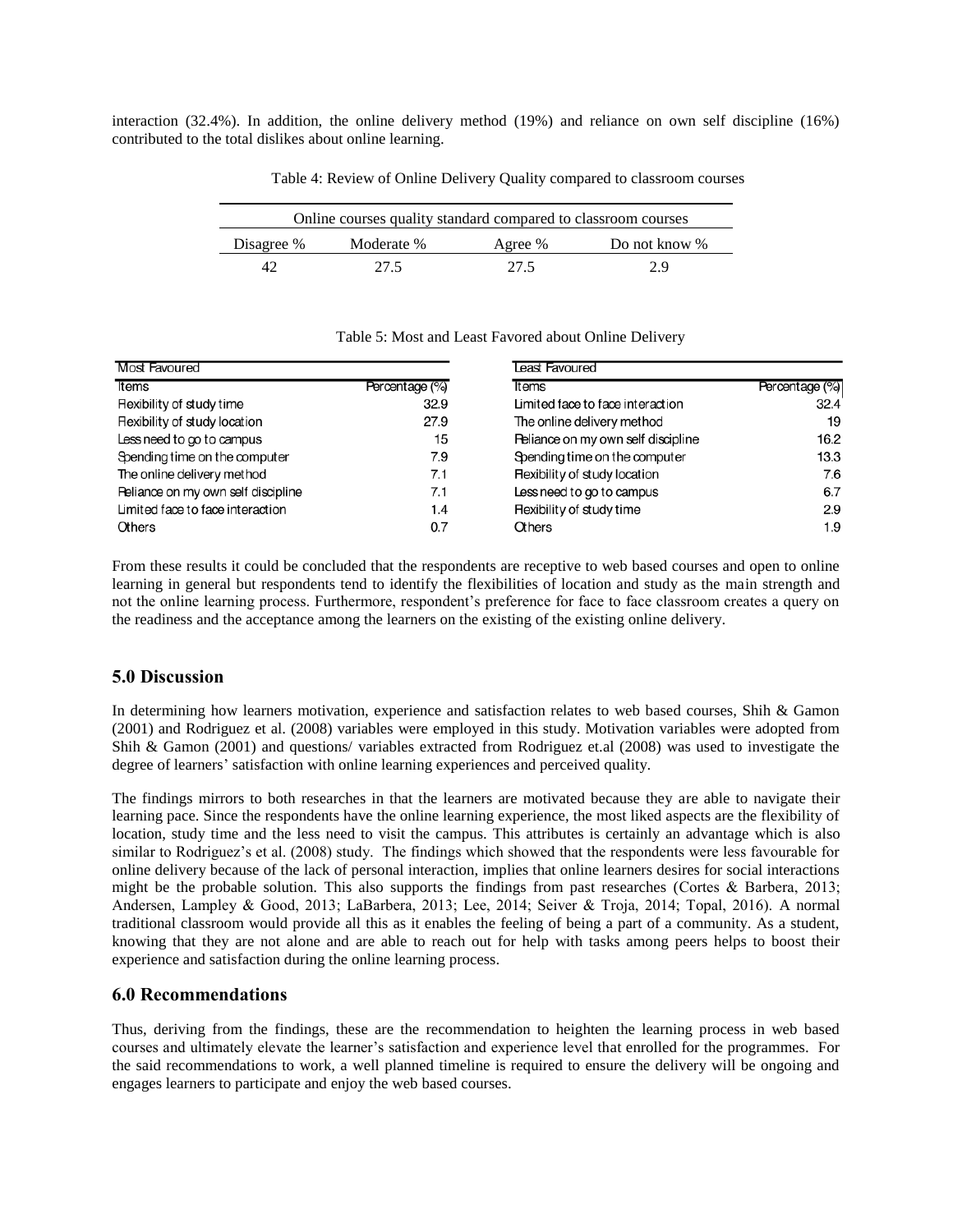interaction (32.4%). In addition, the online delivery method (19%) and reliance on own self discipline (16%) contributed to the total dislikes about online learning.

| Online courses quality standard compared to classroom courses |            |         |               |
|---------------------------------------------------------------|------------|---------|---------------|
| Disagree %                                                    | Moderate % | Agree % | Do not know % |
|                                                               | 27.5       | 27.5    | 29            |

Table 4: Review of Online Delivery Quality compared to classroom courses

| Most Favoured                      |                | Least Favoured                      |                |
|------------------------------------|----------------|-------------------------------------|----------------|
| Items                              | Percentage (%) | <b>Items</b>                        | Percentage (%) |
| <b>Rexibility of study time</b>    | 32.9           | Limited face to face interaction    | 32.4           |
| Rexibility of study location       | 27.9           | The online delivery method          | 19             |
| Less need to go to campus          | 15             | Reliance on my own self discipline  | 16.2           |
| Spending time on the computer      | 7.9            | Spending time on the computer       | 13.3           |
| The online delivery method         | 7.1            | <b>Rexibility of study location</b> | 7.6            |
| Peliance on my own self discipline | 7.1            | Less need to go to campus           | 6.7            |
| Limited face to face interaction   | 1.4            | <b>Rexibility of study time</b>     | 2.9            |
| Others                             | 0.7            | Others                              | 1.9            |

Table 5: Most and Least Favored about Online Delivery

From these results it could be concluded that the respondents are receptive to web based courses and open to online learning in general but respondents tend to identify the flexibilities of location and study as the main strength and not the online learning process. Furthermore, respondent's preference for face to face classroom creates a query on the readiness and the acceptance among the learners on the existing of the existing online delivery.

## **5.0 Discussion**

In determining how learners motivation, experience and satisfaction relates to web based courses, Shih & Gamon (2001) and Rodriguez et al. (2008) variables were employed in this study. Motivation variables were adopted from Shih & Gamon (2001) and questions/ variables extracted from Rodriguez et.al (2008) was used to investigate the degree of learners' satisfaction with online learning experiences and perceived quality.

The findings mirrors to both researches in that the learners are motivated because they are able to navigate their learning pace. Since the respondents have the online learning experience, the most liked aspects are the flexibility of location, study time and the less need to visit the campus. This attributes is certainly an advantage which is also similar to Rodriguez's et al. (2008) study. The findings which showed that the respondents were less favourable for online delivery because of the lack of personal interaction, implies that online learners desires for social interactions might be the probable solution. This also supports the findings from past researches (Cortes & Barbera, 2013; Andersen, Lampley & Good, 2013; LaBarbera, 2013; Lee, 2014; Seiver & Troja, 2014; Topal, 2016). A normal traditional classroom would provide all this as it enables the feeling of being a part of a community. As a student, knowing that they are not alone and are able to reach out for help with tasks among peers helps to boost their experience and satisfaction during the online learning process.

### **6.0 Recommendations**

Thus, deriving from the findings, these are the recommendation to heighten the learning process in web based courses and ultimately elevate the learner's satisfaction and experience level that enrolled for the programmes. For the said recommendations to work, a well planned timeline is required to ensure the delivery will be ongoing and engages learners to participate and enjoy the web based courses.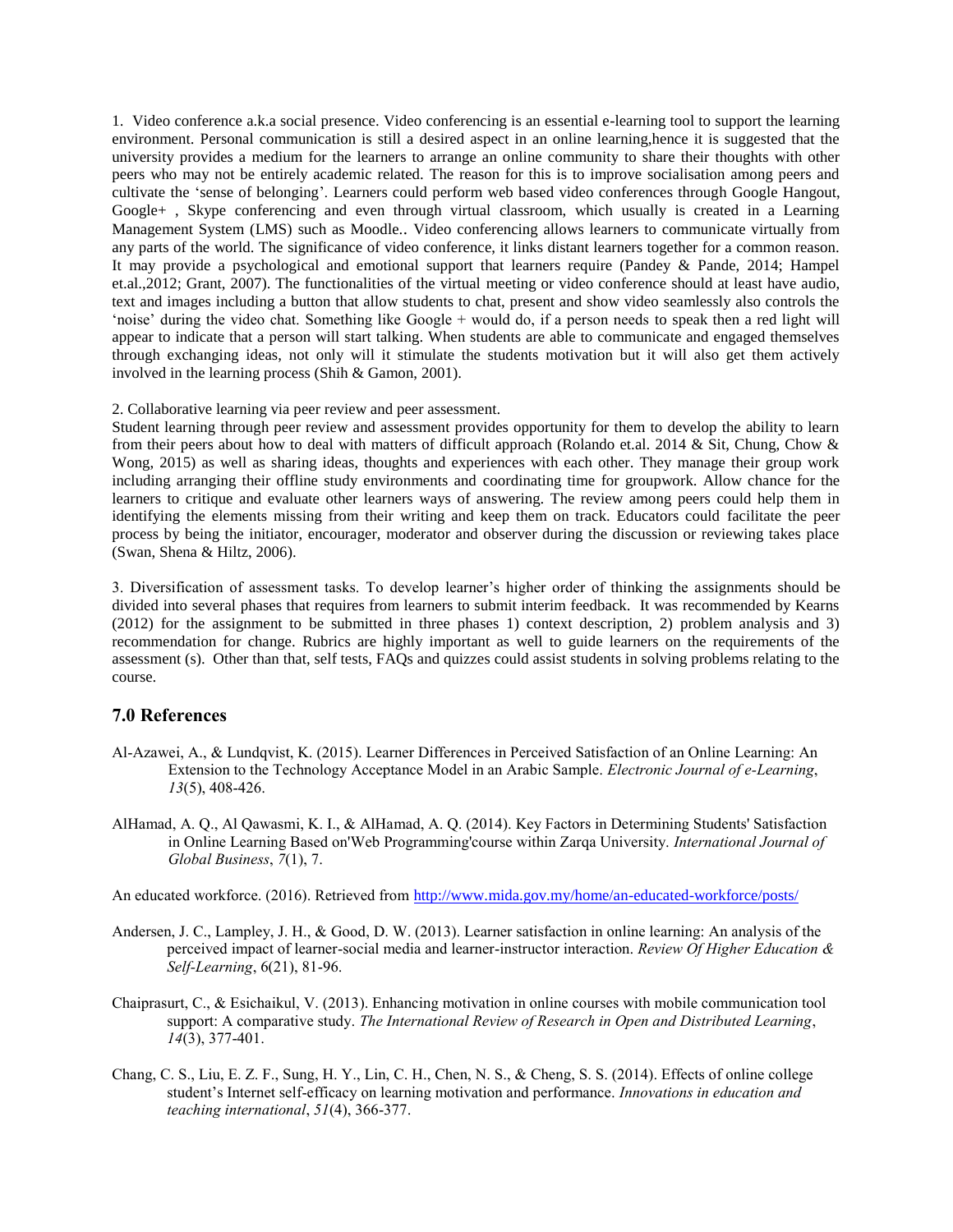1. Video conference a.k.a social presence. Video conferencing is an essential e-learning tool to support the learning environment. Personal communication is still a desired aspect in an online learning,hence it is suggested that the university provides a medium for the learners to arrange an online community to share their thoughts with other peers who may not be entirely academic related. The reason for this is to improve socialisation among peers and cultivate the 'sense of belonging'. Learners could perform web based video conferences through Google Hangout, Google+ , Skype conferencing and even through virtual classroom, which usually is created in a Learning Management System (LMS) such as Moodle.. Video conferencing allows learners to communicate virtually from any parts of the world. The significance of video conference, it links distant learners together for a common reason. It may provide a psychological and emotional support that learners require (Pandey & Pande, 2014; Hampel et.al.,2012; Grant, 2007). The functionalities of the virtual meeting or video conference should at least have audio, text and images including a button that allow students to chat, present and show video seamlessly also controls the 'noise' during the video chat. Something like Google + would do, if a person needs to speak then a red light will appear to indicate that a person will start talking. When students are able to communicate and engaged themselves through exchanging ideas, not only will it stimulate the students motivation but it will also get them actively involved in the learning process (Shih & Gamon, 2001).

#### 2. Collaborative learning via peer review and peer assessment.

Student learning through peer review and assessment provides opportunity for them to develop the ability to learn from their peers about how to deal with matters of difficult approach (Rolando et.al. 2014 & Sit, Chung, Chow & Wong, 2015) as well as sharing ideas, thoughts and experiences with each other. They manage their group work including arranging their offline study environments and coordinating time for groupwork. Allow chance for the learners to critique and evaluate other learners ways of answering. The review among peers could help them in identifying the elements missing from their writing and keep them on track. Educators could facilitate the peer process by being the initiator, encourager, moderator and observer during the discussion or reviewing takes place (Swan, Shena & Hiltz, 2006).

3. Diversification of assessment tasks. To develop learner's higher order of thinking the assignments should be divided into several phases that requires from learners to submit interim feedback. It was recommended by Kearns (2012) for the assignment to be submitted in three phases 1) context description, 2) problem analysis and 3) recommendation for change. Rubrics are highly important as well to guide learners on the requirements of the assessment (s). Other than that, self tests, FAQs and quizzes could assist students in solving problems relating to the course.

### **7.0 References**

- Al-Azawei, A., & Lundqvist, K. (2015). Learner Differences in Perceived Satisfaction of an Online Learning: An Extension to the Technology Acceptance Model in an Arabic Sample. *Electronic Journal of e-Learning*, *13*(5), 408-426.
- AlHamad, A. Q., Al Qawasmi, K. I., & AlHamad, A. Q. (2014). Key Factors in Determining Students' Satisfaction in Online Learning Based on'Web Programming'course within Zarqa University. *International Journal of Global Business*, *7*(1), 7.

An educated workforce. (2016). Retrieved from <http://www.mida.gov.my/home/an-educated-workforce/posts/>

- Andersen, J. C., Lampley, J. H., & Good, D. W. (2013). Learner satisfaction in online learning: An analysis of the perceived impact of learner-social media and learner-instructor interaction. *Review Of Higher Education & Self-Learning*, 6(21), 81-96.
- Chaiprasurt, C., & Esichaikul, V. (2013). Enhancing motivation in online courses with mobile communication tool support: A comparative study. *The International Review of Research in Open and Distributed Learning*, *14*(3), 377-401.
- Chang, C. S., Liu, E. Z. F., Sung, H. Y., Lin, C. H., Chen, N. S., & Cheng, S. S. (2014). Effects of online college student's Internet self-efficacy on learning motivation and performance. *Innovations in education and teaching international*, *51*(4), 366-377.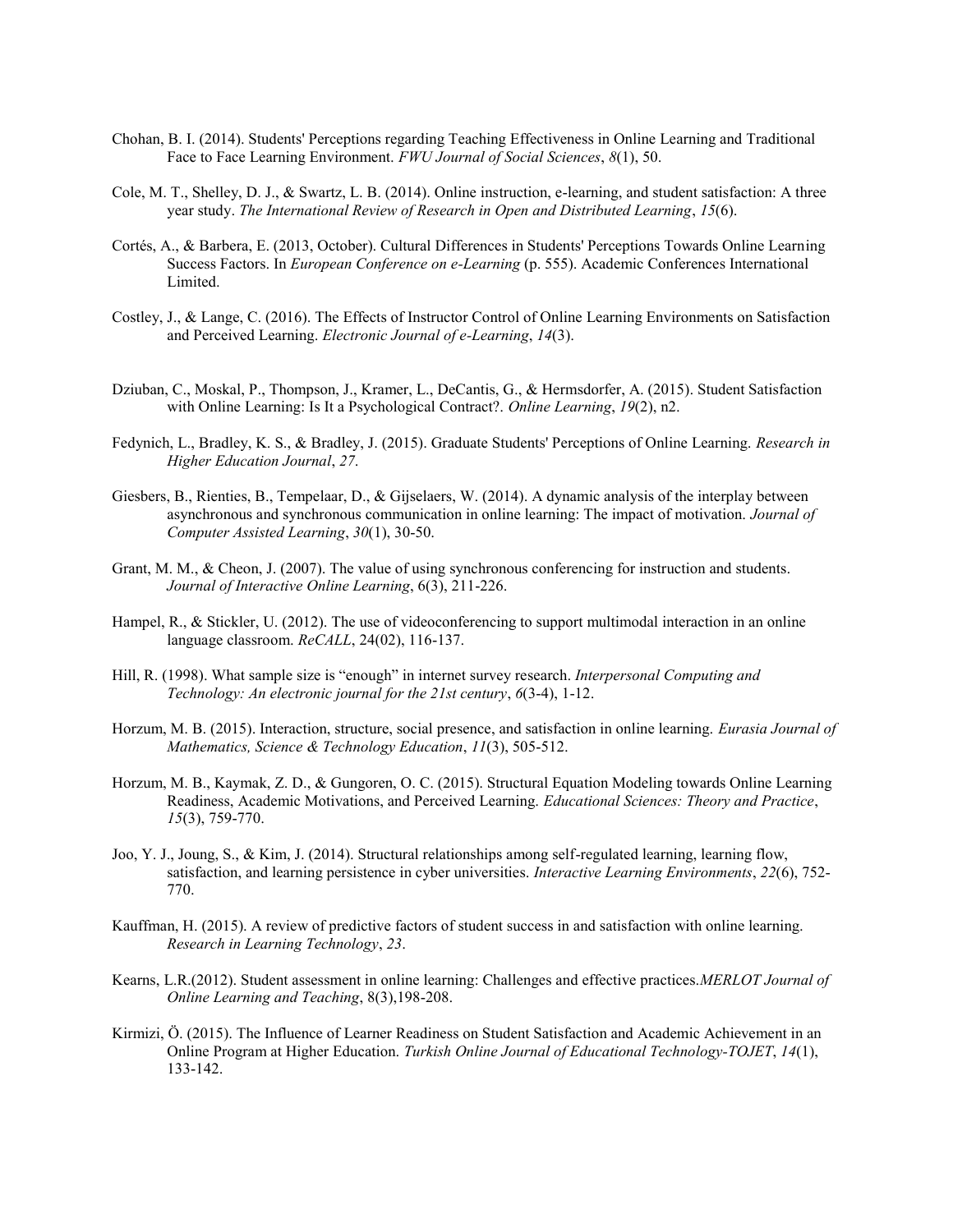- Chohan, B. I. (2014). Students' Perceptions regarding Teaching Effectiveness in Online Learning and Traditional Face to Face Learning Environment. *FWU Journal of Social Sciences*, *8*(1), 50.
- Cole, M. T., Shelley, D. J., & Swartz, L. B. (2014). Online instruction, e-learning, and student satisfaction: A three year study. *The International Review of Research in Open and Distributed Learning*, *15*(6).
- Cortés, A., & Barbera, E. (2013, October). Cultural Differences in Students' Perceptions Towards Online Learning Success Factors. In *European Conference on e-Learning* (p. 555). Academic Conferences International Limited.
- Costley, J., & Lange, C. (2016). The Effects of Instructor Control of Online Learning Environments on Satisfaction and Perceived Learning. *Electronic Journal of e-Learning*, *14*(3).
- Dziuban, C., Moskal, P., Thompson, J., Kramer, L., DeCantis, G., & Hermsdorfer, A. (2015). Student Satisfaction with Online Learning: Is It a Psychological Contract?. *Online Learning*, *19*(2), n2.
- Fedynich, L., Bradley, K. S., & Bradley, J. (2015). Graduate Students' Perceptions of Online Learning. *Research in Higher Education Journal*, *27*.
- Giesbers, B., Rienties, B., Tempelaar, D., & Gijselaers, W. (2014). A dynamic analysis of the interplay between asynchronous and synchronous communication in online learning: The impact of motivation. *Journal of Computer Assisted Learning*, *30*(1), 30-50.
- Grant, M. M., & Cheon, J. (2007). The value of using synchronous conferencing for instruction and students. *Journal of Interactive Online Learning*, 6(3), 211-226.
- Hampel, R., & Stickler, U. (2012). The use of videoconferencing to support multimodal interaction in an online language classroom. *ReCALL*, 24(02), 116-137.
- Hill, R. (1998). What sample size is "enough" in internet survey research. *Interpersonal Computing and Technology: An electronic journal for the 21st century*, *6*(3-4), 1-12.
- Horzum, M. B. (2015). Interaction, structure, social presence, and satisfaction in online learning. *Eurasia Journal of Mathematics, Science & Technology Education*, *11*(3), 505-512.
- Horzum, M. B., Kaymak, Z. D., & Gungoren, O. C. (2015). Structural Equation Modeling towards Online Learning Readiness, Academic Motivations, and Perceived Learning. *Educational Sciences: Theory and Practice*, *15*(3), 759-770.
- Joo, Y. J., Joung, S., & Kim, J. (2014). Structural relationships among self-regulated learning, learning flow, satisfaction, and learning persistence in cyber universities. *Interactive Learning Environments*, *22*(6), 752- 770.
- Kauffman, H. (2015). A review of predictive factors of student success in and satisfaction with online learning. *Research in Learning Technology*, *23*.
- Kearns, L.R.(2012). Student assessment in online learning: Challenges and effective practices.*MERLOT Journal of Online Learning and Teaching*, 8(3),198-208.
- Kirmizi, Ö. (2015). The Influence of Learner Readiness on Student Satisfaction and Academic Achievement in an Online Program at Higher Education. *Turkish Online Journal of Educational Technology-TOJET*, *14*(1), 133-142.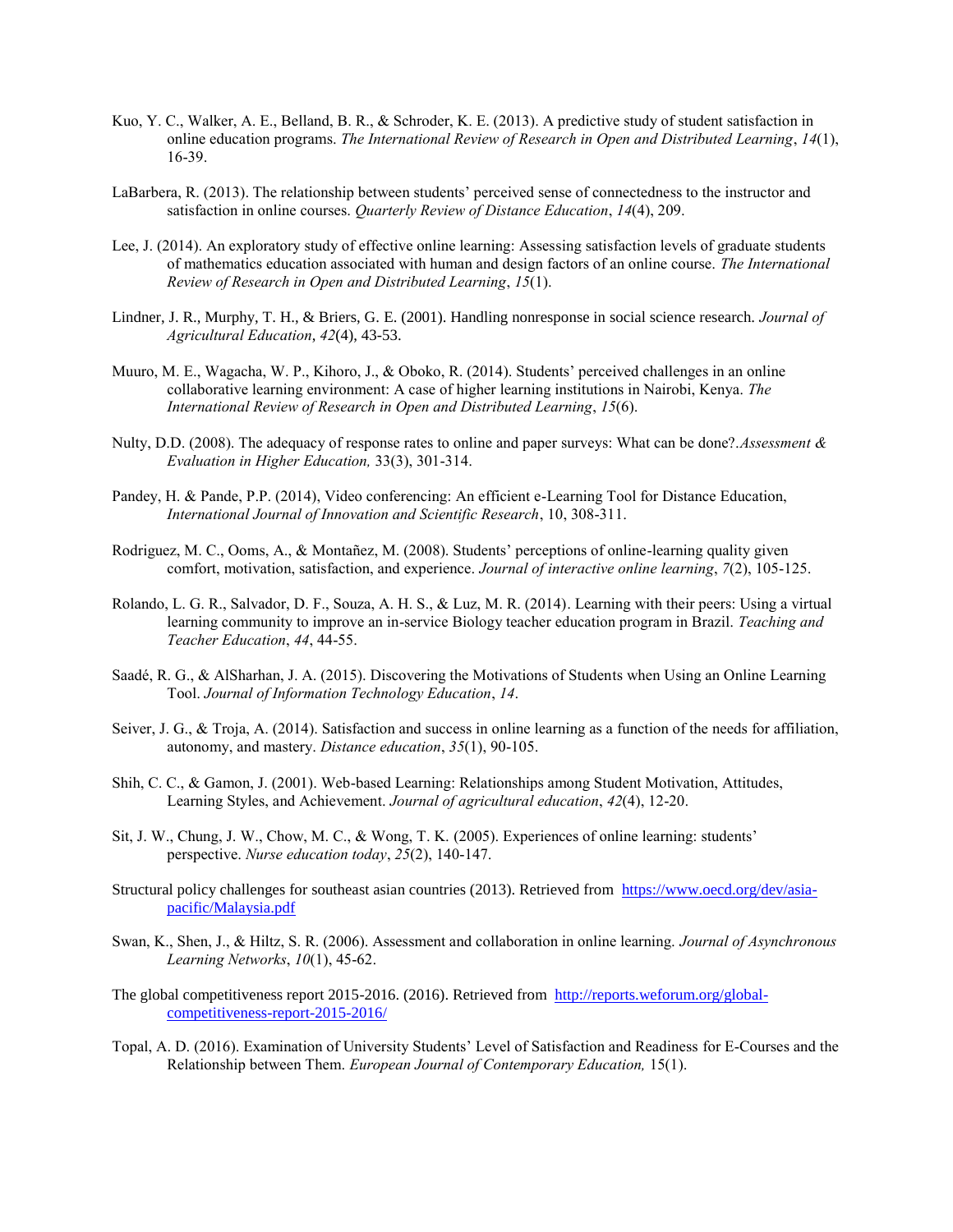- Kuo, Y. C., Walker, A. E., Belland, B. R., & Schroder, K. E. (2013). A predictive study of student satisfaction in online education programs. *The International Review of Research in Open and Distributed Learning*, *14*(1), 16-39.
- LaBarbera, R. (2013). The relationship between students' perceived sense of connectedness to the instructor and satisfaction in online courses. *Quarterly Review of Distance Education*, *14*(4), 209.
- Lee, J. (2014). An exploratory study of effective online learning: Assessing satisfaction levels of graduate students of mathematics education associated with human and design factors of an online course. *The International Review of Research in Open and Distributed Learning*, *15*(1).
- Lindner, J. R., Murphy, T. H., & Briers, G. E. (2001). Handling nonresponse in social science research. *Journal of Agricultural Education*, *42*(4), 43-53.
- Muuro, M. E., Wagacha, W. P., Kihoro, J., & Oboko, R. (2014). Students' perceived challenges in an online collaborative learning environment: A case of higher learning institutions in Nairobi, Kenya. *The International Review of Research in Open and Distributed Learning*, *15*(6).
- Nulty, D.D. (2008). The adequacy of response rates to online and paper surveys: What can be done?.*Assessment & Evaluation in Higher Education,* 33(3), 301-314.
- Pandey, H. & Pande, P.P. (2014), Video conferencing: An efficient e-Learning Tool for Distance Education, *International Journal of Innovation and Scientific Research*, 10, 308-311.
- Rodriguez, M. C., Ooms, A., & Montañez, M. (2008). Students' perceptions of online-learning quality given comfort, motivation, satisfaction, and experience. *Journal of interactive online learning*, *7*(2), 105-125.
- Rolando, L. G. R., Salvador, D. F., Souza, A. H. S., & Luz, M. R. (2014). Learning with their peers: Using a virtual learning community to improve an in-service Biology teacher education program in Brazil. *Teaching and Teacher Education*, *44*, 44-55.
- Saadé, R. G., & AlSharhan, J. A. (2015). Discovering the Motivations of Students when Using an Online Learning Tool. *Journal of Information Technology Education*, *14*.
- Seiver, J. G., & Troja, A. (2014). Satisfaction and success in online learning as a function of the needs for affiliation, autonomy, and mastery. *Distance education*, *35*(1), 90-105.
- Shih, C. C., & Gamon, J. (2001). Web-based Learning: Relationships among Student Motivation, Attitudes, Learning Styles, and Achievement. *Journal of agricultural education*, *42*(4), 12-20.
- Sit, J. W., Chung, J. W., Chow, M. C., & Wong, T. K. (2005). Experiences of online learning: students' perspective. *Nurse education today*, *25*(2), 140-147.
- Structural policy challenges for southeast asian countries (2013). Retrieved from [https://www.oecd.org/dev/asia](https://www.oecd.org/dev/asia-pacific/Malaysia.pdf)[pacific/Malaysia.pdf](https://www.oecd.org/dev/asia-pacific/Malaysia.pdf)
- Swan, K., Shen, J., & Hiltz, S. R. (2006). Assessment and collaboration in online learning. *Journal of Asynchronous Learning Networks*, *10*(1), 45-62.
- The global competitiveness report 2015-2016. (2016). Retrieved from [http://reports.weforum.org/global](http://reports.weforum.org/global-competitiveness-report-2015-2016/)[competitiveness-report-2015-2016/](http://reports.weforum.org/global-competitiveness-report-2015-2016/)
- Topal, A. D. (2016). Examination of University Students' Level of Satisfaction and Readiness for E-Courses and the Relationship between Them. *European Journal of Contemporary Education,* 15(1).